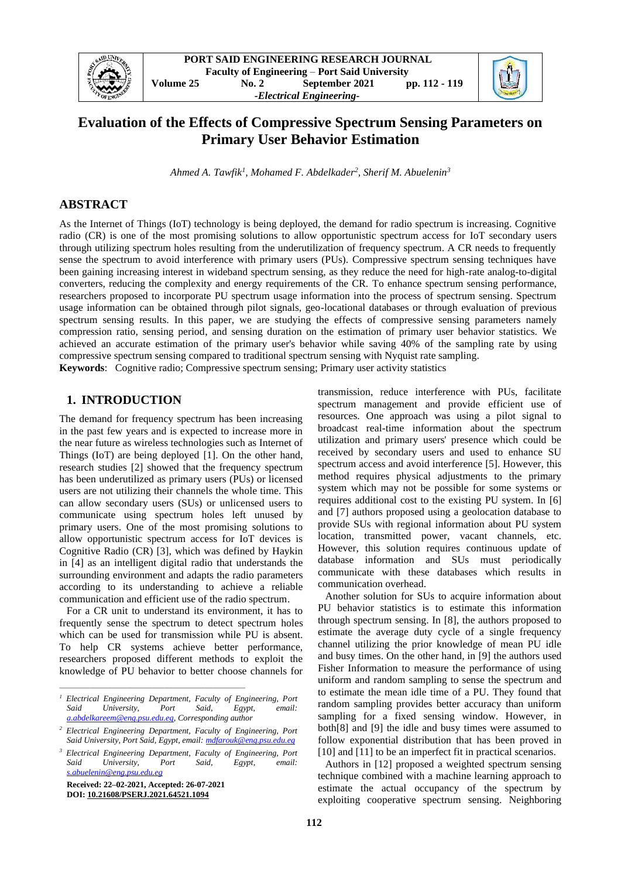

# **Evaluation of the Effects of Compressive Spectrum Sensing Parameters on Primary User Behavior Estimation**

*Ahmed A. Tawfik<sup>1</sup> , Mohamed F. Abdelkader<sup>2</sup> , Sherif M. Abuelenin<sup>3</sup>*

## **ABSTRACT**

As the Internet of Things (IoT) technology is being deployed, the demand for radio spectrum is increasing. Cognitive radio (CR) is one of the most promising solutions to allow opportunistic spectrum access for IoT secondary users through utilizing spectrum holes resulting from the underutilization of frequency spectrum. A CR needs to frequently sense the spectrum to avoid interference with primary users (PUs). Compressive spectrum sensing techniques have been gaining increasing interest in wideband spectrum sensing, as they reduce the need for high-rate analog-to-digital converters, reducing the complexity and energy requirements of the CR. To enhance spectrum sensing performance, researchers proposed to incorporate PU spectrum usage information into the process of spectrum sensing. Spectrum usage information can be obtained through pilot signals, geo-locational databases or through evaluation of previous spectrum sensing results. In this paper, we are studying the effects of compressive sensing parameters namely compression ratio, sensing period, and sensing duration on the estimation of primary user behavior statistics. We achieved an accurate estimation of the primary user's behavior while saving 40% of the sampling rate by using compressive spectrum sensing compared to traditional spectrum sensing with Nyquist rate sampling. **Keywords**: Cognitive radio; Compressive spectrum sensing; Primary user activity statistics

## **1. INTRODUCTION**

The demand for frequency spectrum has been increasing in the past few years and is expected to increase more in the near future as wireless technologies such as Internet of Things (IoT) are being deployed [1]. On the other hand, research studies [2] showed that the frequency spectrum has been underutilized as primary users (PUs) or licensed users are not utilizing their channels the whole time. This can allow secondary users (SUs) or unlicensed users to communicate using spectrum holes left unused by primary users. One of the most promising solutions to allow opportunistic spectrum access for IoT devices is Cognitive Radio (CR) [3], which was defined by Haykin in [4] as an intelligent digital radio that understands the surrounding environment and adapts the radio parameters according to its understanding to achieve a reliable communication and efficient use of the radio spectrum.

For a CR unit to understand its environment, it has to frequently sense the spectrum to detect spectrum holes which can be used for transmission while PU is absent. To help CR systems achieve better performance, researchers proposed different methods to exploit the knowledge of PU behavior to better choose channels for

*<sup>3</sup> Electrical Engineering Department, Faculty of Engineering, Port Said University, Port Said, Egypt, email: [s.abuelenin@eng.psu.edu.eg](mailto:%20s.abuelenin@eng.psu.edu.eg)*

**Received: 22–02-2021, Accepted: 26-07-2021 DOI: [10.21608/PSERJ.2021.64521.1094](https://dx.doi.org/10.21608/pserj.2021.64521.1094)**

*\_\_\_\_\_\_\_\_\_\_\_\_\_\_\_\_\_\_\_\_\_\_\_\_\_\_\_\_\_\_\_\_\_\_\_\_\_\_\_\_\_\_\_\_\_\_\_\_\_\_\_\_\_\_\_*

transmission, reduce interference with PUs, facilitate spectrum management and provide efficient use of resources. One approach was using a pilot signal to broadcast real-time information about the spectrum utilization and primary users' presence which could be received by secondary users and used to enhance SU spectrum access and avoid interference [5]. However, this method requires physical adjustments to the primary system which may not be possible for some systems or requires additional cost to the existing PU system. In [6] and [7] authors proposed using a geolocation database to provide SUs with regional information about PU system location, transmitted power, vacant channels, etc. However, this solution requires continuous update of database information and SUs must periodically communicate with these databases which results in communication overhead.

Another solution for SUs to acquire information about PU behavior statistics is to estimate this information through spectrum sensing. In [8], the authors proposed to estimate the average duty cycle of a single frequency channel utilizing the prior knowledge of mean PU idle and busy times. On the other hand, in [9] the authors used Fisher Information to measure the performance of using uniform and random sampling to sense the spectrum and to estimate the mean idle time of a PU. They found that random sampling provides better accuracy than uniform sampling for a fixed sensing window. However, in both[8] and [9] the idle and busy times were assumed to follow exponential distribution that has been proved in [10] and [11] to be an imperfect fit in practical scenarios.

Authors in [12] proposed a weighted spectrum sensing technique combined with a machine learning approach to estimate the actual occupancy of the spectrum by exploiting cooperative spectrum sensing. Neighboring

*<sup>1</sup> Electrical Engineering Department, Faculty of Engineering, Port Said University, Port Said, Egypt, email: [a.abdelkareem@eng.psu.edu.eg,](mailto:a.abdelkareem@eng.psu.edu.eg) Corresponding author*

*<sup>2</sup> Electrical Engineering Department, Faculty of Engineering, Port Said University, Port Said, Egypt, email[: mdfarouk@eng.psu.edu.eg](mailto:%20mdfarouk@eng.psu.edu.eg)*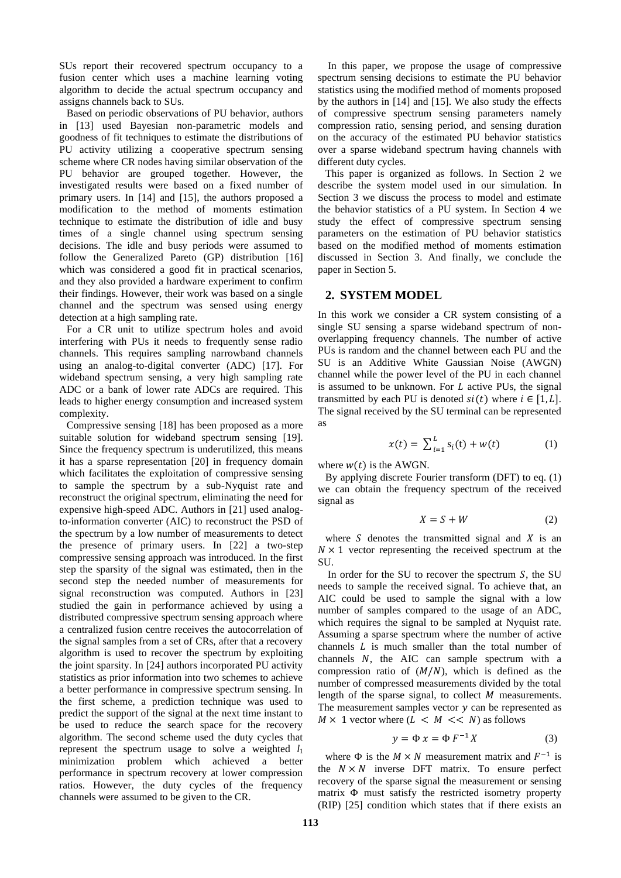SUs report their recovered spectrum occupancy to a fusion center which uses a machine learning voting algorithm to decide the actual spectrum occupancy and assigns channels back to SUs.

Based on periodic observations of PU behavior, authors in [13] used Bayesian non-parametric models and goodness of fit techniques to estimate the distributions of PU activity utilizing a cooperative spectrum sensing scheme where CR nodes having similar observation of the PU behavior are grouped together. However, the investigated results were based on a fixed number of primary users. In [14] and [15], the authors proposed a modification to the method of moments estimation technique to estimate the distribution of idle and busy times of a single channel using spectrum sensing decisions. The idle and busy periods were assumed to follow the Generalized Pareto (GP) distribution [16] which was considered a good fit in practical scenarios, and they also provided a hardware experiment to confirm their findings. However, their work was based on a single channel and the spectrum was sensed using energy detection at a high sampling rate.

For a CR unit to utilize spectrum holes and avoid interfering with PUs it needs to frequently sense radio channels. This requires sampling narrowband channels using an analog-to-digital converter (ADC) [17]. For wideband spectrum sensing, a very high sampling rate ADC or a bank of lower rate ADCs are required. This leads to higher energy consumption and increased system complexity.

Compressive sensing [18] has been proposed as a more suitable solution for wideband spectrum sensing [19]. Since the frequency spectrum is underutilized, this means it has a sparse representation [20] in frequency domain which facilitates the exploitation of compressive sensing to sample the spectrum by a sub-Nyquist rate and reconstruct the original spectrum, eliminating the need for expensive high-speed ADC. Authors in [21] used analogto-information converter (AIC) to reconstruct the PSD of the spectrum by a low number of measurements to detect the presence of primary users. In [22] a two-step compressive sensing approach was introduced. In the first step the sparsity of the signal was estimated, then in the second step the needed number of measurements for signal reconstruction was computed. Authors in [23] studied the gain in performance achieved by using a distributed compressive spectrum sensing approach where a centralized fusion centre receives the autocorrelation of the signal samples from a set of CRs, after that a recovery algorithm is used to recover the spectrum by exploiting the joint sparsity. In [24] authors incorporated PU activity statistics as prior information into two schemes to achieve a better performance in compressive spectrum sensing. In the first scheme, a prediction technique was used to predict the support of the signal at the next time instant to be used to reduce the search space for the recovery algorithm. The second scheme used the duty cycles that represent the spectrum usage to solve a weighted  $l_1$ minimization problem which achieved a better performance in spectrum recovery at lower compression ratios. However, the duty cycles of the frequency channels were assumed to be given to the CR.

In this paper, we propose the usage of compressive spectrum sensing decisions to estimate the PU behavior statistics using the modified method of moments proposed by the authors in [14] and [15]. We also study the effects of compressive spectrum sensing parameters namely compression ratio, sensing period, and sensing duration on the accuracy of the estimated PU behavior statistics over a sparse wideband spectrum having channels with different duty cycles.

This paper is organized as follows. In Section 2 we describe the system model used in our simulation. In Section 3 we discuss the process to model and estimate the behavior statistics of a PU system. In Section 4 we study the effect of compressive spectrum sensing parameters on the estimation of PU behavior statistics based on the modified method of moments estimation discussed in Section 3. And finally, we conclude the paper in Section 5.

### **2. SYSTEM MODEL**

In this work we consider a CR system consisting of a single SU sensing a sparse wideband spectrum of nonoverlapping frequency channels. The number of active PUs is random and the channel between each PU and the SU is an Additive White Gaussian Noise (AWGN) channel while the power level of the PU in each channel is assumed to be unknown. For  $L$  active PUs, the signal transmitted by each PU is denoted  $si(t)$  where  $i \in [1, L]$ . The signal received by the SU terminal can be represented as

$$
x(t) = \sum_{i=1}^{L} s_i(t) + w(t)
$$
 (1)

where  $w(t)$  is the AWGN.

By applying discrete Fourier transform (DFT) to eq. (1) we can obtain the frequency spectrum of the received signal as

$$
X = S + W \tag{2}
$$

where  $S$  denotes the transmitted signal and  $X$  is an  $N \times 1$  vector representing the received spectrum at the SU.

In order for the SU to recover the spectrum  $S$ , the SU needs to sample the received signal. To achieve that, an AIC could be used to sample the signal with a low number of samples compared to the usage of an ADC, which requires the signal to be sampled at Nyquist rate. Assuming a sparse spectrum where the number of active channels  $L$  is much smaller than the total number of channels  $N$ , the AIC can sample spectrum with a compression ratio of  $(M/N)$ , which is defined as the number of compressed measurements divided by the total length of the sparse signal, to collect  $M$  measurements. The measurement samples vector  $y$  can be represented as  $M \times 1$  vector where  $(L \leq M \leq N)$  as follows

$$
y = \Phi x = \Phi F^{-1} X \tag{3}
$$

where  $\Phi$  is the  $M \times N$  measurement matrix and  $F^{-1}$  is the  $N \times N$  inverse DFT matrix. To ensure perfect recovery of the sparse signal the measurement or sensing matrix Φ must satisfy the restricted isometry property (RIP) [25] condition which states that if there exists an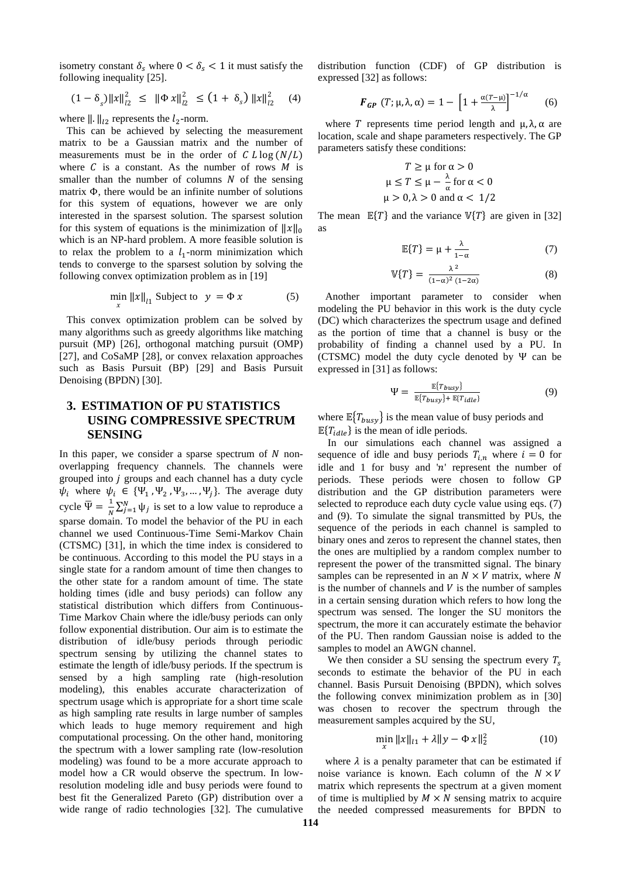isometry constant  $\delta_s$  where  $0 < \delta_s < 1$  it must satisfy the following inequality [25].

$$
(1 - \delta_s) \|x\|_{l_2}^2 \leq \|\Phi x\|_{l_2}^2 \leq (1 + \delta_s) \|x\|_{l_2}^2 \quad (4)
$$

where  $\|\cdot\|_{l_2}$  represents the  $l_2$ -norm.

This can be achieved by selecting the measurement matrix to be a Gaussian matrix and the number of measurements must be in the order of  $CL \log(N/L)$ where  $C$  is a constant. As the number of rows  $M$  is smaller than the number of columns  $N$  of the sensing matrix Φ, there would be an infinite number of solutions for this system of equations, however we are only interested in the sparsest solution. The sparsest solution for this system of equations is the minimization of  $||x||_0$ which is an NP-hard problem. A more feasible solution is to relax the problem to a  $l_1$ -norm minimization which tends to converge to the sparsest solution by solving the following convex optimization problem as in [19]

$$
\min_{x} ||x||_{l1} \text{ Subject to } y = \Phi x \tag{5}
$$

This convex optimization problem can be solved by many algorithms such as greedy algorithms like matching pursuit (MP) [26], orthogonal matching pursuit (OMP) [27], and CoSaMP [28], or convex relaxation approaches such as Basis Pursuit (BP) [29] and Basis Pursuit Denoising (BPDN) [30].

## **3. ESTIMATION OF PU STATISTICS USING COMPRESSIVE SPECTRUM SENSING**

In this paper, we consider a sparse spectrum of  $N$  nonoverlapping frequency channels. The channels were grouped into  $j$  groups and each channel has a duty cycle  $\psi_i$  where  $\psi_i \in {\Psi_1, \Psi_2, \Psi_3, ..., \Psi_j}$ . The average duty cycle  $\overline{\Psi} = \frac{1}{N}$  $\frac{1}{N} \sum_{j=1}^{N} \psi_j$  is set to a low value to reproduce a sparse domain. To model the behavior of the PU in each channel we used Continuous-Time Semi-Markov Chain (CTSMC) [31], in which the time index is considered to be continuous. According to this model the PU stays in a single state for a random amount of time then changes to the other state for a random amount of time. The state holding times (idle and busy periods) can follow any statistical distribution which differs from Continuous-Time Markov Chain where the idle/busy periods can only follow exponential distribution. Our aim is to estimate the distribution of idle/busy periods through periodic spectrum sensing by utilizing the channel states to estimate the length of idle/busy periods. If the spectrum is sensed by a high sampling rate (high-resolution modeling), this enables accurate characterization of spectrum usage which is appropriate for a short time scale as high sampling rate results in large number of samples which leads to huge memory requirement and high computational processing. On the other hand, monitoring the spectrum with a lower sampling rate (low-resolution modeling) was found to be a more accurate approach to model how a CR would observe the spectrum. In lowresolution modeling idle and busy periods were found to best fit the Generalized Pareto (GP) distribution over a wide range of radio technologies [32]. The cumulative

distribution function (CDF) of GP distribution is expressed [32] as follows:

$$
\boldsymbol{F}_{\boldsymbol{G}\boldsymbol{P}}\left(T;\mu,\lambda,\alpha\right) = 1 - \left[1 + \frac{\alpha(T-\mu)}{\lambda}\right]^{-1/\alpha} \qquad (6)
$$

where T represents time period length and  $\mu$ ,  $\lambda$ ,  $\alpha$  are location, scale and shape parameters respectively. The GP parameters satisfy these conditions:

$$
T \ge \mu \text{ for } \alpha > 0
$$
  

$$
\mu \le T \le \mu - \frac{\lambda}{\alpha} \text{ for } \alpha < 0
$$
  

$$
\mu > 0, \lambda > 0 \text{ and } \alpha < 1/2
$$

The mean  $E\{T\}$  and the variance  $V\{T\}$  are given in [32] as

$$
\mathbb{E}\{T\} = \mu + \frac{\lambda}{1-\alpha} \tag{7}
$$

$$
\mathbb{V}\{T\} = \frac{\lambda^2}{(1-\alpha)^2 (1-2\alpha)}\tag{8}
$$

Another important parameter to consider when modeling the PU behavior in this work is the duty cycle (DC) which characterizes the spectrum usage and defined as the portion of time that a channel is busy or the probability of finding a channel used by a PU. In (CTSMC) model the duty cycle denoted by Ψ can be expressed in [31] as follows:

$$
\Psi = \frac{\mathbb{E}\{T_{busy}\}}{\mathbb{E}\{T_{busy}\} + \mathbb{E}\{T_{idle}\}}\tag{9}
$$

where  $\mathbb{E}\left\{T_{busy}\right\}$  is the mean value of busy periods and  $\mathbb{E}\{T_{idle}\}\$ is the mean of idle periods.

In our simulations each channel was assigned a sequence of idle and busy periods  $T_{i,n}$  where  $i = 0$  for idle and 1 for busy and  $'n'$  represent the number of periods. These periods were chosen to follow GP distribution and the GP distribution parameters were selected to reproduce each duty cycle value using eqs. (7) and (9). To simulate the signal transmitted by PUs, the sequence of the periods in each channel is sampled to binary ones and zeros to represent the channel states, then the ones are multiplied by a random complex number to represent the power of the transmitted signal. The binary samples can be represented in an  $N \times V$  matrix, where N is the number of channels and  $V$  is the number of samples in a certain sensing duration which refers to how long the spectrum was sensed. The longer the SU monitors the spectrum, the more it can accurately estimate the behavior of the PU. Then random Gaussian noise is added to the samples to model an AWGN channel.

We then consider a SU sensing the spectrum every  $T_s$ seconds to estimate the behavior of the PU in each channel. Basis Pursuit Denoising (BPDN), which solves the following convex minimization problem as in [30] was chosen to recover the spectrum through the measurement samples acquired by the SU,

$$
\min_{x} \|x\|_{l1} + \lambda \|y - \Phi x\|_{2}^{2}
$$
 (10)

where  $\lambda$  is a penalty parameter that can be estimated if noise variance is known. Each column of the  $N \times V$ matrix which represents the spectrum at a given moment of time is multiplied by  $M \times N$  sensing matrix to acquire the needed compressed measurements for BPDN to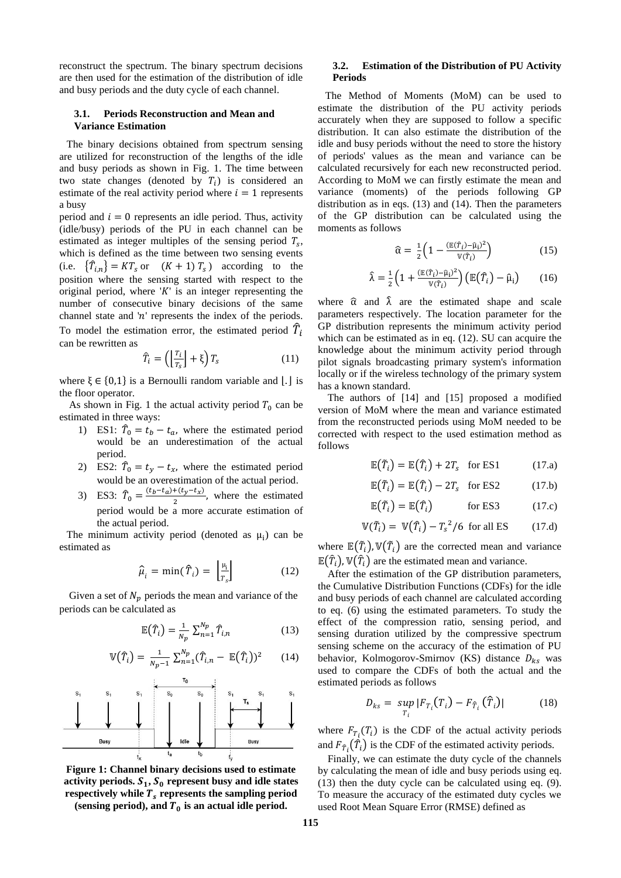reconstruct the spectrum. The binary spectrum decisions are then used for the estimation of the distribution of idle and busy periods and the duty cycle of each channel.

#### **3.1. Periods Reconstruction and Mean and Variance Estimation**

The binary decisions obtained from spectrum sensing are utilized for reconstruction of the lengths of the idle and busy periods as shown in Fig. 1. The time between two state changes (denoted by  $T_i$ ) is considered an estimate of the real activity period where  $i = 1$  represents a busy

period and  $i = 0$  represents an idle period. Thus, activity (idle/busy) periods of the PU in each channel can be estimated as integer multiples of the sensing period  $T_s$ , which is defined as the time between two sensing events (i.e.  $\{\hat{T}_{i,n}\}=KT_s$  or  $(K+1)T_s$ ) according to the position where the sensing started with respect to the original period, where  $'K'$  is an integer representing the number of consecutive binary decisions of the same channel state and ' $n$ ' represents the index of the periods. To model the estimation error, the estimated period  $\widehat{T}_i$ can be rewritten as

$$
\widehat{T}_i = \left(\left\lfloor \frac{r_i}{r_s} \right\rfloor + \xi\right) T_s \tag{11}
$$

where  $\xi \in \{0,1\}$  is a Bernoulli random variable and  $|.|$  is the floor operator.

As shown in Fig. 1 the actual activity period  $T_0$  can be estimated in three ways:

- 1) ES1:  $\hat{T}_0 = t_b t_a$ , where the estimated period would be an underestimation of the actual period.
- 2) ES2:  $\hat{T}_0 = t_y t_x$ , where the estimated period would be an overestimation of the actual period.
- 3) ES3:  $\hat{T}_0 = \frac{(t_b t_a) + (t_y t_x)}{2}$  $\frac{2^{+(x-y)-tx}}{2}$ , where the estimated period would be a more accurate estimation of the actual period.

The minimum activity period (denoted as  $\mu_i$ ) can be estimated as

$$
\hat{\mu}_i = \min(\hat{T}_i) = \left\lfloor \frac{\mu_i}{T_s} \right\rfloor \tag{12}
$$

Given a set of  $N_p$  periods the mean and variance of the periods can be calculated as

$$
\mathbb{E}(\hat{T}_i) = \frac{1}{N_p} \sum_{n=1}^{N_p} \hat{T}_{i,n} \tag{13}
$$

$$
\mathbb{V}(\hat{T}_i) = \frac{1}{N_{p-1}} \sum_{n=1}^{N_p} (\hat{T}_{i,n} - \mathbb{E}(\hat{T}_i))^2 \qquad (14)
$$



**Figure 1: Channel binary decisions used to estimate**  activity periods.  $S_1$ ,  $S_0$  represent busy and idle states respectively while  $T_s$  represents the sampling period

(sensing period), and  $T_0$  is an actual idle period.

### **3.2. Estimation of the Distribution of PU Activity Periods**

The Method of Moments (MoM) can be used to estimate the distribution of the PU activity periods accurately when they are supposed to follow a specific distribution. It can also estimate the distribution of the idle and busy periods without the need to store the history of periods' values as the mean and variance can be calculated recursively for each new reconstructed period. According to MoM we can firstly estimate the mean and variance (moments) of the periods following GP distribution as in eqs. (13) and (14). Then the parameters of the GP distribution can be calculated using the moments as follows

$$
\widehat{\alpha} = \frac{1}{2} \left( 1 - \frac{(\mathbb{E}(\widehat{T}_i) - \widehat{\mu}_i)^2}{\mathbb{V}(\widehat{T}_i)} \right) \tag{15}
$$

$$
\hat{\lambda} = \frac{1}{2} \left( 1 + \frac{(\mathbb{E}(\hat{T}_i) - \hat{\mu}_i)^2}{\mathbb{V}(\hat{T}_i)} \right) \left( \mathbb{E}(\hat{T}_i) - \hat{\mu}_i \right) \tag{16}
$$

where  $\hat{\alpha}$  and  $\hat{\lambda}$  are the estimated shape and scale parameters respectively. The location parameter for the GP distribution represents the minimum activity period which can be estimated as in eq. (12). SU can acquire the knowledge about the minimum activity period through pilot signals broadcasting primary system's information locally or if the wireless technology of the primary system has a known standard.

The authors of [14] and [15] proposed a modified version of MoM where the mean and variance estimated from the reconstructed periods using MoM needed to be corrected with respect to the used estimation method as follows

$$
\mathbb{E}(\tilde{T}_i) = \mathbb{E}(\hat{T}_i) + 2T_s \quad \text{for ES1} \tag{17. a}
$$

$$
\mathbb{E}(\tilde{T}_i) = \mathbb{E}(\hat{T}_i) - 2T_s \quad \text{for ES2} \tag{17.b}
$$

$$
\mathbb{E}(\tilde{T}_i) = \mathbb{E}(\tilde{T}_i) \quad \text{for ES3} \quad (17.c)
$$

$$
\mathbb{V}(\tilde{T}_i) = \mathbb{V}(\hat{T}_i) - T_s^2/6 \text{ for all ES } (17. d)
$$

where  $\mathbb{E}(\tilde{T}_i)$ ,  $\mathbb{V}(\tilde{T}_i)$  are the corrected mean and variance  $\mathbb{E}(\hat{T}_i)$ ,  $\mathbb{V}(\hat{T}_i)$  are the estimated mean and variance.

After the estimation of the GP distribution parameters, the Cumulative Distribution Functions (CDFs) for the idle and busy periods of each channel are calculated according to eq. (6) using the estimated parameters. To study the effect of the compression ratio, sensing period, and sensing duration utilized by the compressive spectrum sensing scheme on the accuracy of the estimation of PU behavior, Kolmogorov-Smirnov (KS) distance  $D_{ks}$  was used to compare the CDFs of both the actual and the estimated periods as follows

$$
D_{ks} = \sup_{T_i} |F_{T_i}(T_i) - F_{\hat{T}_i}(\hat{T}_i)| \qquad (18)
$$

where  $F_{T_i}(T_i)$  is the CDF of the actual activity periods and  $F_{\hat{T}_i}(\hat{T}_i)$  is the CDF of the estimated activity periods.

Finally, we can estimate the duty cycle of the channels by calculating the mean of idle and busy periods using eq. (13) then the duty cycle can be calculated using eq. (9). To measure the accuracy of the estimated duty cycles we used Root Mean Square Error (RMSE) defined as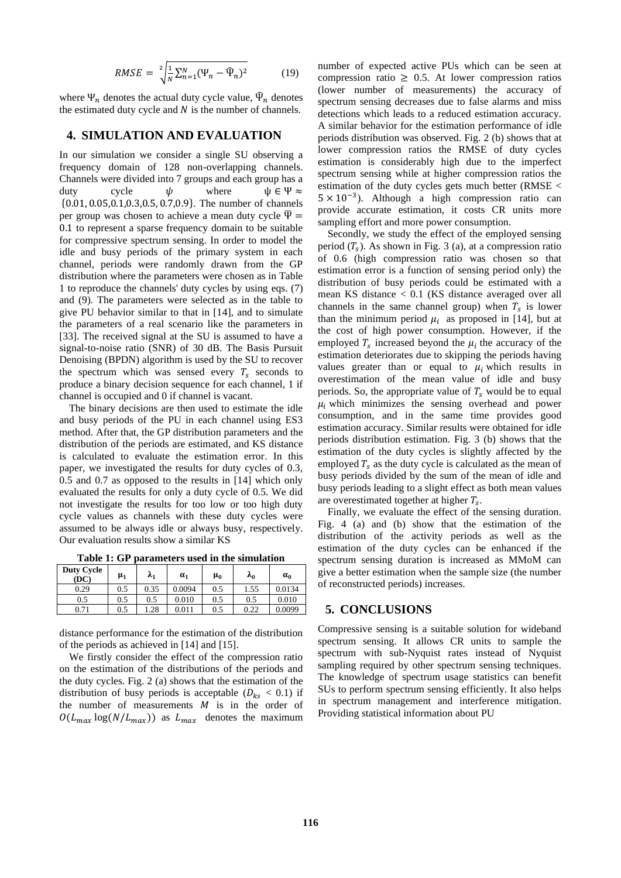$$
RMSE = \sqrt[2]{\frac{1}{N} \sum_{n=1}^{N} (\Psi_n - \widehat{\Psi}_n)^2}
$$
 (19)

where  $\Psi_n$  denotes the actual duty cycle value,  $\hat{\Psi}_n$  denotes the estimated duty cycle and  $N$  is the number of channels.

### **4. SIMULATION AND EVALUATION**

In our simulation we consider a single SU observing a frequency domain of 128 non-overlapping channels. Channels were divided into 7 groups and each group has a duty cycle  $\psi$  where  $\psi \in \Psi \approx$ {0.01, 0.05,0.1,0.3,0.5, 0.7,0.9}. The number of channels per group was chosen to achieve a mean duty cycle  $\overline{\Psi}$  = 0.1 to represent a sparse frequency domain to be suitable for compressive spectrum sensing. In order to model the idle and busy periods of the primary system in each channel, periods were randomly drawn from the GP distribution where the parameters were chosen as in Table 1 to reproduce the channels' duty cycles by using eqs. (7) and (9). The parameters were selected as in the table to give PU behavior similar to that in [14], and to simulate the parameters of a real scenario like the parameters in [33]. The received signal at the SU is assumed to have a signal-to-noise ratio (SNR) of 30 dB. The Basis Pursuit Denoising (BPDN) algorithm is used by the SU to recover the spectrum which was sensed every  $T_s$  seconds to produce a binary decision sequence for each channel, 1 if channel is occupied and 0 if channel is vacant.

The binary decisions are then used to estimate the idle and busy periods of the PU in each channel using ES3 method. After that, the GP distribution parameters and the distribution of the periods are estimated, and KS distance is calculated to evaluate the estimation error. In this paper, we investigated the results for duty cycles of 0.3, 0.5 and 0.7 as opposed to the results in [14] which only evaluated the results for only a duty cycle of 0.5. We did not investigate the results for too low or too high duty cycle values as channels with these duty cycles were assumed to be always idle or always busy, respectively. Our evaluation results show a similar KS

| <b>Duty Cycle</b><br>(DC) | $\mu_1$ | $\lambda_1$ | $\alpha_1$ | $\mu_0$ | $\lambda_0$ | $\alpha_0$ |
|---------------------------|---------|-------------|------------|---------|-------------|------------|
| 0.29                      | 0.5     | 0.35        | 0.0094     | 0.5     | 1.55        | 0.0134     |
| 0.5                       | 0.5     | 0.5         | 0.010      | 0.5     | 0.5         | 0.010      |
| 0.71                      | 0.5     | 1.28        | 0.011      | 0.5     | 0.22        | 0.0099     |

**Table 1: GP parameters used in the simulation**

distance performance for the estimation of the distribution of the periods as achieved in [14] and [15].

We firstly consider the effect of the compression ratio on the estimation of the distributions of the periods and the duty cycles. Fig. 2 (a) shows that the estimation of the distribution of busy periods is acceptable ( $D_{ks} < 0.1$ ) if the number of measurements  $M$  is in the order of  $O(L_{max} \log(N/L_{max}))$  as  $L_{max}$  denotes the maximum number of expected active PUs which can be seen at compression ratio  $\geq 0.5$ . At lower compression ratios (lower number of measurements) the accuracy of spectrum sensing decreases due to false alarms and miss detections which leads to a reduced estimation accuracy. A similar behavior for the estimation performance of idle periods distribution was observed. Fig. 2 (b) shows that at lower compression ratios the RMSE of duty cycles estimation is considerably high due to the imperfect spectrum sensing while at higher compression ratios the estimation of the duty cycles gets much better (RMSE < 5 × 10−3 ). Although a high compression ratio can provide accurate estimation, it costs CR units more sampling effort and more power consumption.

Secondly, we study the effect of the employed sensing period  $(T_s)$ . As shown in Fig. 3 (a), at a compression ratio of 0.6 (high compression ratio was chosen so that estimation error is a function of sensing period only) the distribution of busy periods could be estimated with a mean KS distance < 0.1 (KS distance averaged over all channels in the same channel group) when  $T_s$  is lower than the minimum period  $\mu_i$  as proposed in [14], but at the cost of high power consumption. However, if the employed  $T_s$  increased beyond the  $\mu_i$  the accuracy of the estimation deteriorates due to skipping the periods having values greater than or equal to  $\mu_i$  which results in overestimation of the mean value of idle and busy periods. So, the appropriate value of  $T_s$  would be to equal  $\mu_i$  which minimizes the sensing overhead and power consumption, and in the same time provides good estimation accuracy. Similar results were obtained for idle periods distribution estimation. Fig. 3 (b) shows that the estimation of the duty cycles is slightly affected by the employed  $T_s$  as the duty cycle is calculated as the mean of busy periods divided by the sum of the mean of idle and busy periods leading to a slight effect as both mean values are overestimated together at higher  $T_s$ .

Finally, we evaluate the effect of the sensing duration. Fig. 4 (a) and (b) show that the estimation of the distribution of the activity periods as well as the estimation of the duty cycles can be enhanced if the spectrum sensing duration is increased as MMoM can give a better estimation when the sample size (the number of reconstructed periods) increases.

### **5. CONCLUSIONS**

Compressive sensing is a suitable solution for wideband spectrum sensing. It allows CR units to sample the spectrum with sub-Nyquist rates instead of Nyquist sampling required by other spectrum sensing techniques. The knowledge of spectrum usage statistics can benefit SUs to perform spectrum sensing efficiently. It also helps in spectrum management and interference mitigation. Providing statistical information about PU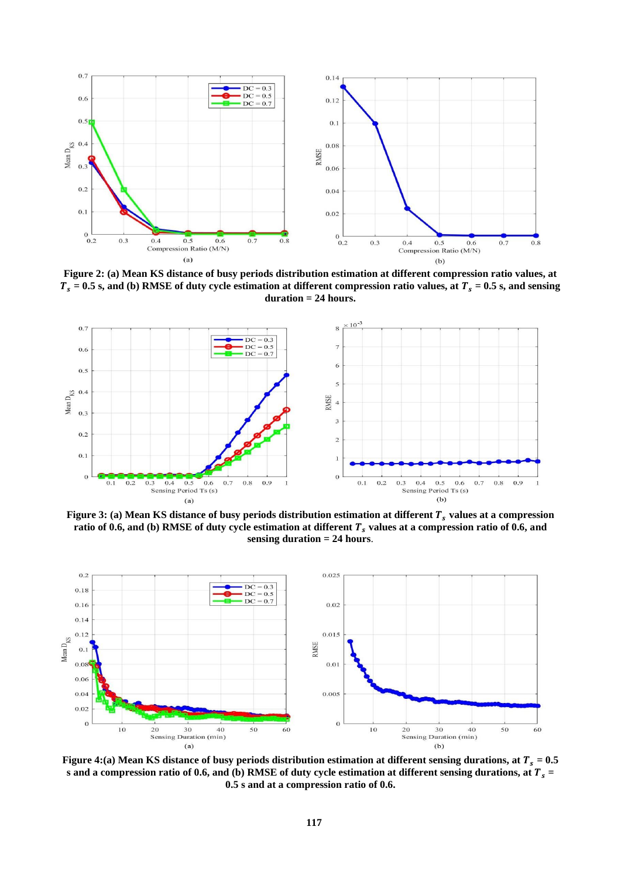

**Figure 2: (a) Mean KS distance of busy periods distribution estimation at different compression ratio values, at**   $T_s = 0.5$  s, and (b) RMSE of duty cycle estimation at different compression ratio values, at  $T_s = 0.5$  s, and sensing **duration = 24 hours.**



**Figure** 3: (a) Mean KS distance of busy periods distribution estimation at different  $T_s$  values at a compression **ratio of 0.6, and (b) RMSE of duty cycle estimation at different**  $T_s$  **values at a compression ratio of 0.6, and sensing duration = 24 hours**.



**Figure 4:(a) Mean KS distance of busy periods distribution estimation at different sensing durations, at**  $T_s = 0.5$ **s** and a compression ratio of 0.6, and (b) RMSE of duty cycle estimation at different sensing durations, at  $T_s$  = **0.5 s and at a compression ratio of 0.6.**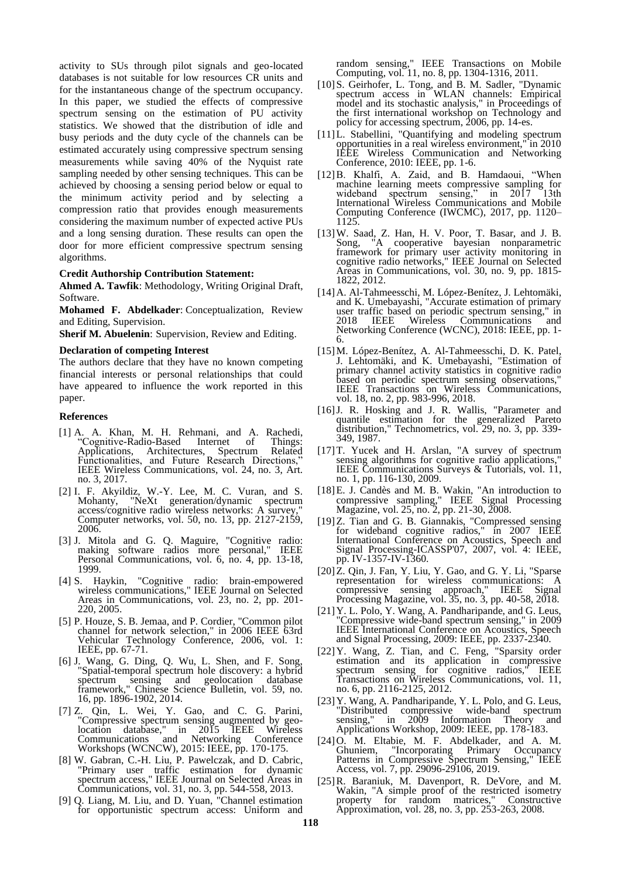activity to SUs through pilot signals and geo-located databases is not suitable for low resources CR units and for the instantaneous change of the spectrum occupancy. In this paper, we studied the effects of compressive spectrum sensing on the estimation of PU activity statistics. We showed that the distribution of idle and busy periods and the duty cycle of the channels can be estimated accurately using compressive spectrum sensing measurements while saving 40% of the Nyquist rate sampling needed by other sensing techniques. This can be achieved by choosing a sensing period below or equal to the minimum activity period and by selecting a compression ratio that provides enough measurements considering the maximum number of expected active PUs and a long sensing duration. These results can open the door for more efficient compressive spectrum sensing algorithms.

#### **Credit Authorship Contribution Statement:**

**Ahmed A. Tawfik**: Methodology, Writing Original Draft, Software.

**Mohamed F. Abdelkader**: Conceptualization, Review and Editing, Supervision.

**Sherif M. Abuelenin:** Supervision, Review and Editing.

#### **Declaration of competing Interest**

The authors declare that they have no known competing financial interests or personal relationships that could have appeared to influence the work reported in this paper.

#### **References**

- [1] A. A. Khan, M. H. Rehmani, and A. Rachedi, "Cognitive-Radio-Based Internet of Things: Applications, Architectures, Spectrum Related Functionalities, and Future Research Directions," IEEE Wireless Communications, vol. 24, no. 3, Art. no. 3, 2017.
- [2] I. F. Akyildiz, W.-Y. Lee, M. C. Vuran, and S. Mohanty, "NeXt generation/dynamic spectrum access/cognitive radio wireless networks: A survey," Computer networks, vol. 50, no. 13, pp. 2127-2159, 2006.
- [3] J. Mitola and G. Q. Maguire, "Cognitive radio: making software radios more personal," IEEE Personal Communications, vol. 6, no. 4, pp. 13-18, 1999.
- [4] S. Haykin, "Cognitive radio: brain-empowered wireless communications," IEEE Journal on Selected Areas in Communications, vol. 23, no. 2, pp. 201- 220, 2005.
- [5] P. Houze, S. B. Jemaa, and P. Cordier, "Common pilot channel for network selection," in 2006 IEEE 63rd Vehicular Technology Conference, 2006, vol. 1: IEEE, pp. 67-71.
- [6] J. Wang, G. Ding, Q. Wu, L. Shen, and F. Song, "Spatial-temporal spectrum hole discovery: a hybrid spectrum sensing and geolocation database framework," Chinese Science Bulletin, vol. 59, no. 16, pp. 1896-1902, 2014.
- [7] Z. Qin, L. Wei, Y. Gao, and C. G. Parini, "Compressive spectrum sensing augmented by geolocation database," in 2015 IEEE Wireless Communications and Networking Conference Workshops (WCNCW), 2015: IEEE, pp. 170-175.
- [8] W. Gabran, C.-H. Liu, P. Pawelczak, and D. Cabric, "Primary user traffic estimation for dynamic spectrum access," IEEE Journal on Selected Areas in Communications, vol. 31, no. 3, pp. 544-558, 2013.
- [9] Q. Liang, M. Liu, and D. Yuan, "Channel estimation for opportunistic spectrum access: Uniform and

random sensing," IEEE Transactions on Mobile Computing, vol. 11, no. 8, pp. 1304-1316, 2011.

- [10]S. Geirhofer, L. Tong, and B. M. Sadler, "Dynamic spectrum access in WLAN channels: Empirical model and its stochastic analysis," in Proceedings of the first international workshop on Technology and policy for accessing spectrum, 2006, pp. 14-es.
- [11]L. Stabellini, "Quantifying and modeling spectrum opportunities in a real wireless environment," in 2010 IEEE Wireless Communication and Networking Conference, 2010: IEEE, pp. 1-6.
- [12]B. Khalfi, A. Zaid, and B. Hamdaoui, "When machine learning meets compressive sampling for wideband spectrum sensing," in 2017 13th International Wireless Communications and Mobile Computing Conference (IWCMC), 2017, pp. 1120– 1125.
- [13]W. Saad, Z. Han, H. V. Poor, T. Basar, and J. B. Song, "A cooperative bayesian nonparametric framework for primary user activity monitoring in cognitive radio networks," IEEE Journal on Selected Areas in Communications, vol. 30, no. 9, pp. 1815- 1822, 2012.
- [14]A. Al-Tahmeesschi, M. López-Benítez, J. Lehtomäki, and K. Umebayashi, "Accurate estimation of primary user traffic based on periodic spectrum sensing," in 2018 IEEE Wireless Communications and Networking Conference (WCNC), 2018: IEEE, pp. 1- 6.
- [15]M. López-Benítez, A. Al-Tahmeesschi, D. K. Patel, J. Lehtomäki, and K. Umebayashi, "Estimation of primary channel activity statistics in cognitive radio based on periodic spectrum sensing observations," IEEE Transactions on Wireless Communications, vol. 18, no. 2, pp. 983-996, 2018.
- [16]J. R. Hosking and J. R. Wallis, "Parameter and quantile estimation for the generalized Pareto distribution," Technometrics, vol. 29, no. 3, pp. 339- 349, 1987.
- [17]T. Yucek and H. Arslan, "A survey of spectrum sensing algorithms for cognitive radio applications, IEEE Communications Surveys & Tutorials, vol. 11, no. 1, pp. 116-130, 2009.
- [18]E. J. Candès and M. B. Wakin, "An introduction to compressive sampling," IEEE Signal Processing Magazine, vol. 25, no. 2, pp. 21-30, 2008.
- [19]Z. Tian and G. B. Giannakis, "Compressed sensing for wideband cognitive radios," in 2007 IEEE International Conference on Acoustics, Speech and Signal Processing-ICASSP'07, 2007, vol. 4: IEEE, pp. IV-1357-IV-1360.
- [20]Z. Qin, J. Fan, Y. Liu, Y. Gao, and G. Y. Li, "Sparse representation for wireless communications: A compressive sensing approach," IEEE Signal Processing Magazine, vol. 35, no. 3, pp. 40-58, 2018.
- [21]Y. L. Polo, Y. Wang, A. Pandharipande, and G. Leus, "Compressive wide-band spectrum sensing," in 2009 IEEE International Conference on Acoustics, Speech and Signal Processing, 2009: IEEE, pp. 2337-2340.
- [22]Y. Wang, Z. Tian, and C. Feng, "Sparsity order estimation and its application in compressive spectrum sensing for cognitive radios," IEEE Transactions on Wireless Communications, vol. 11, no. 6, pp. 2116-2125, 2012.
- [23]Y. Wang, A. Pandharipande, Y. L. Polo, and G. Leus, "Distributed compressive wide-band spectrum sensing," in 2009 Information Theory and Applications Workshop, 2009: IEEE, pp. 178-183.
- [24]O. M. Eltabie, M. F. Abdelkader, and A. M. Ghuniem, "Incorporating Primary Occupancy Patterns in Compressive Spectrum Sensing," IEEE Access, vol. 7, pp. 29096-29106, 2019.
- [25]R. Baraniuk, M. Davenport, R. DeVore, and M. Wakin, "A simple proof of the restricted isometry property for random matrices," Constructive Approximation, vol. 28, no. 3, pp. 253-263, 2008.